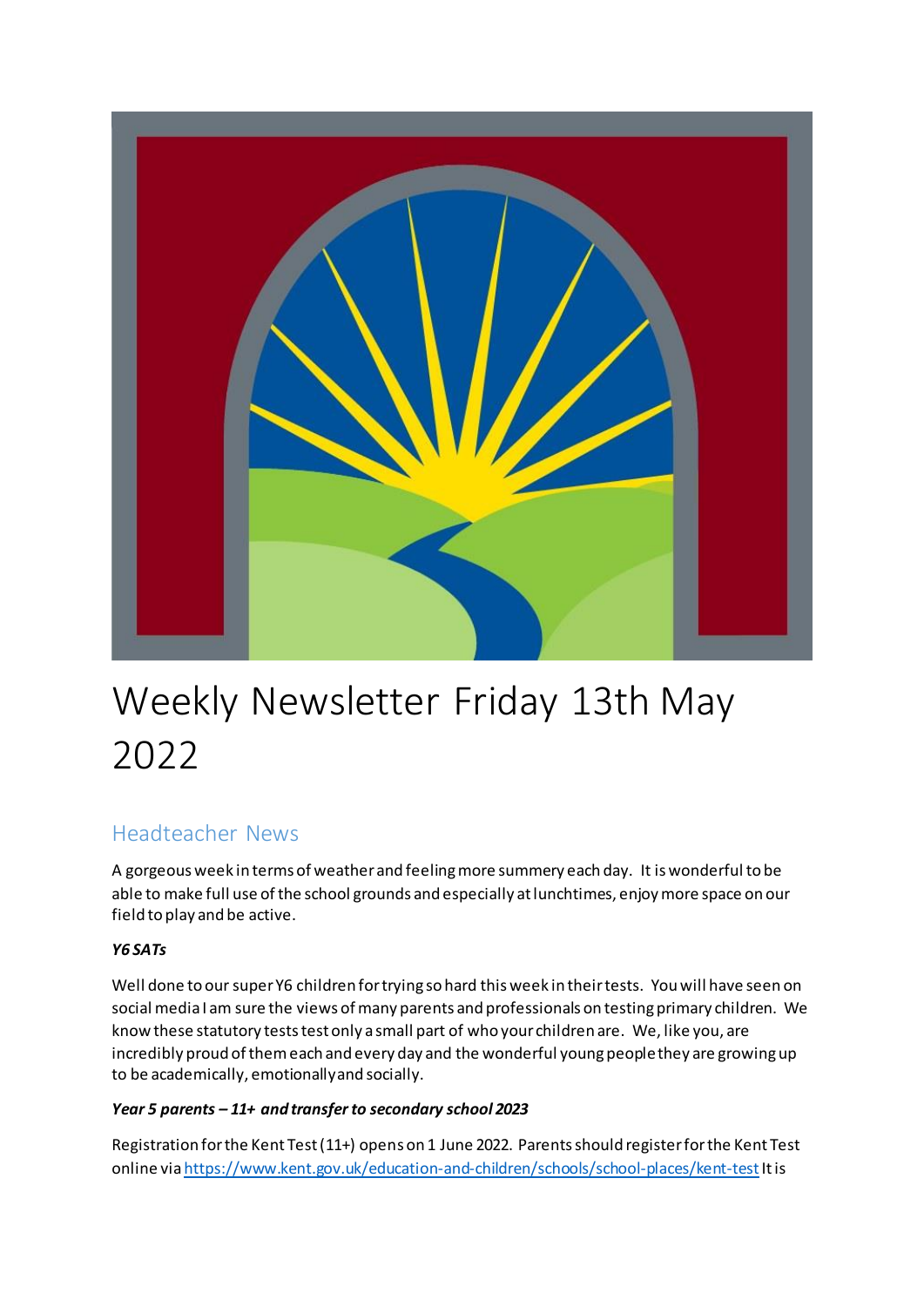

# Weekly Newsletter Friday 13th May 2022

# Headteacher News

A gorgeous week in terms of weather and feeling more summery each day. It is wonderful to be able to make full use of the school grounds and especially at lunchtimes, enjoy more space on our field to play and be active.

### *Y6 SATs*

Well done to our super Y6 children for trying so hard this week in their tests. You will have seen on social media I am sure the views of many parents and professionals on testing primary children. We know these statutory tests test only a small part of who your children are. We, like you, are incredibly proud of them each and every day and the wonderful young people they are growing up to be academically, emotionally and socially.

### *Year 5 parents – 11+ and transfer to secondary school 2023*

Registration for the Kent Test (11+) opens on 1 June 2022. Parents should register for the Kent Test online vi[a https://www.kent.gov.uk/education-and-children/schools/school-places/kent-test](https://www.kent.gov.uk/education-and-children/schools/school-places/kent-test)Itis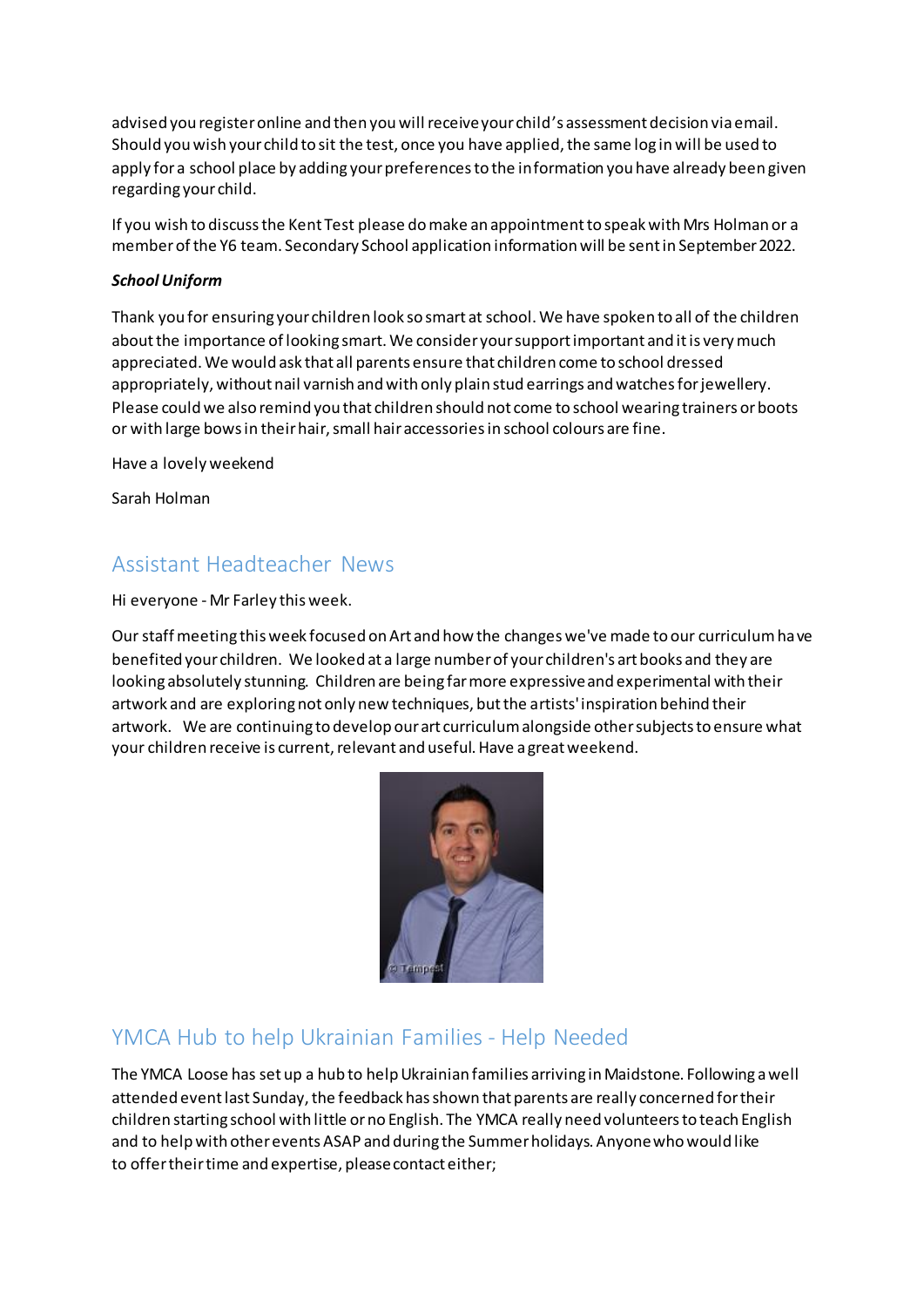advised you register online and then you will receive your child's assessment decision via email. Should you wish your child to sit the test, once you have applied, the same log in will be used to apply for a school place by adding your preferences to the information you have already been given regarding your child.

If you wish to discuss the Kent Test please do make an appointment to speak with Mrs Holman or a member of the Y6 team. Secondary School application information will be sent in September 2022.

#### *School Uniform*

Thank you for ensuring your children look so smart at school. We have spoken to all of the children about the importance of looking smart. We consider your support important and it is very much appreciated. We would ask that all parents ensure that children come to school dressed appropriately, without nail varnish and with only plain stud earrings and watches for jewellery. Please could we also remind you that children should not come to school wearing trainers or boots or with large bows in their hair, small hair accessories in school colours are fine.

Have a lovely weekend

Sarah Holman

### Assistant Headteacher News

Hi everyone - Mr Farley this week.

Our staff meeting this week focused on Art and how the changes we've made to our curriculum have benefited your children. We looked at a large number of your children's art books and they are looking absolutely stunning. Children are being far more expressive and experimental with their artwork and are exploring not only new techniques, but the artists' inspiration behind their artwork. We are continuing to develop our art curriculum alongside other subjects to ensure what your children receive is current, relevant and useful. Have a great weekend.



# YMCA Hub to help Ukrainian Families - Help Needed

The YMCA Loose has set up a hub to help Ukrainian families arriving in Maidstone. Following a well attended event last Sunday, the feedback has shown that parents are really concerned for their children starting school with little or no English. The YMCA really need volunteers to teach English and to help with other events ASAP and during the Summer holidays. Anyone who would like to offer their time and expertise, please contact either;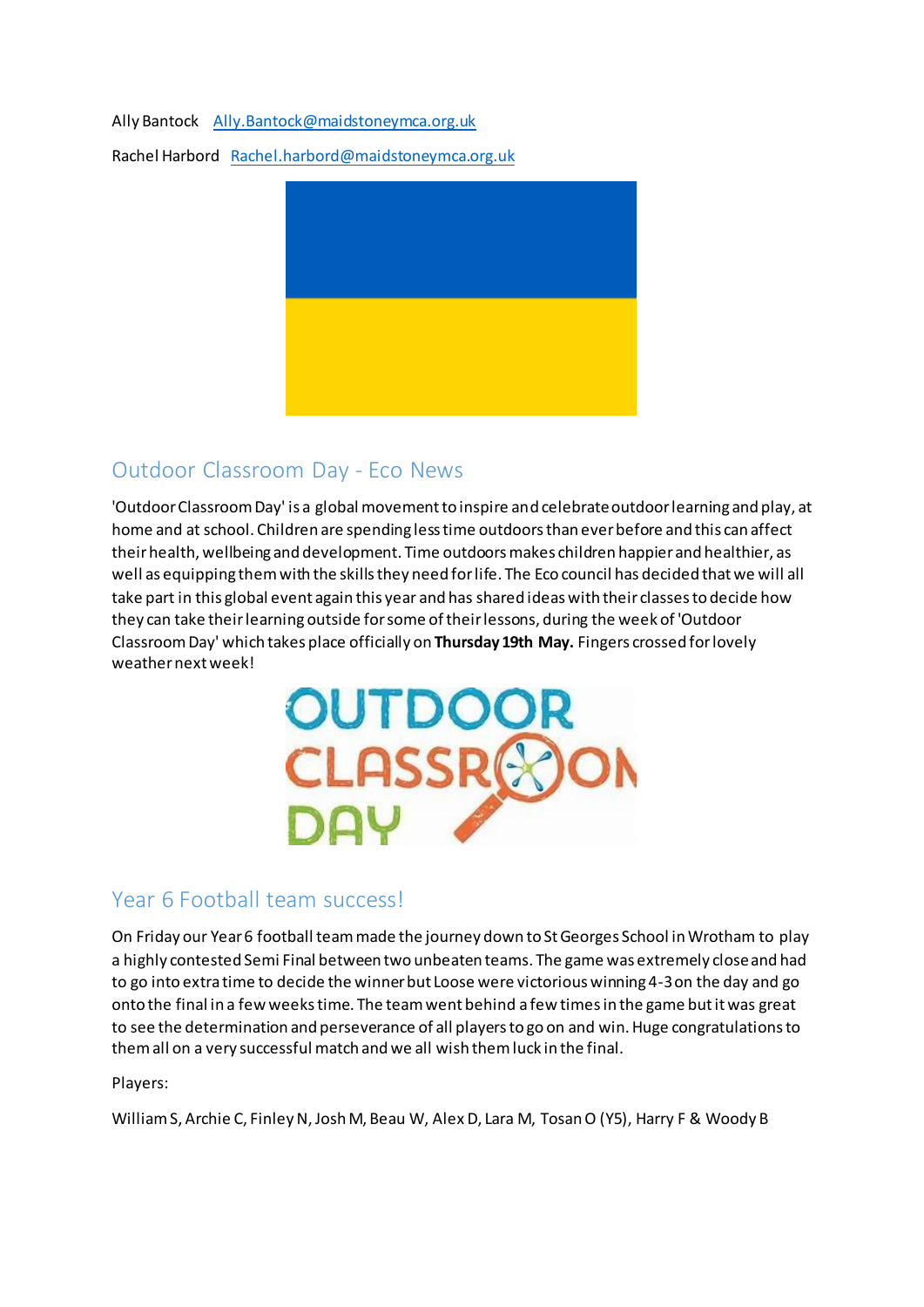Ally Bantock [Ally.Bantock@maidstoneymca.org.uk](mailto:Ally.Bantock@maidstoneymca.org.uk)

Rachel Harbord [Rachel.harbord@maidstoneymca.org.uk](mailto:Rachel.harbord@maidstoneymca.org.uk)



# Outdoor Classroom Day - Eco News

'Outdoor Classroom Day' is a global movement to inspire and celebrate outdoor learning and play, at home and at school. Children are spending less time outdoors than ever before and this can affect their health, wellbeing and development. Time outdoors makes children happier and healthier, as well as equipping them with the skills they need for life. The Eco council has decided that we will all take part in this global event again this year and has shared ideas with their classes to decide how they can take their learning outside for some of their lessons, during the week of 'Outdoor Classroom Day' which takes place officially on **Thursday 19th May.** Fingers crossed for lovely weather next week!



# Year 6 Football team success!

On Friday our Year 6 football team made the journey down to St Georges School in Wrotham to play a highly contested Semi Final between two unbeaten teams. The game was extremely close and had to go into extra time to decide the winner but Loose were victorious winning 4-3 on the day and go onto the final in a few weeks time. The team went behind a few times in the game but it was great to see the determination and perseverance of all players to go on and win. Huge congratulations to them all on a very successful match and we all wish them luck in the final.

Players:

William S, Archie C, Finley N, Josh M, Beau W, Alex D, Lara M, Tosan O (Y5), Harry F & Woody B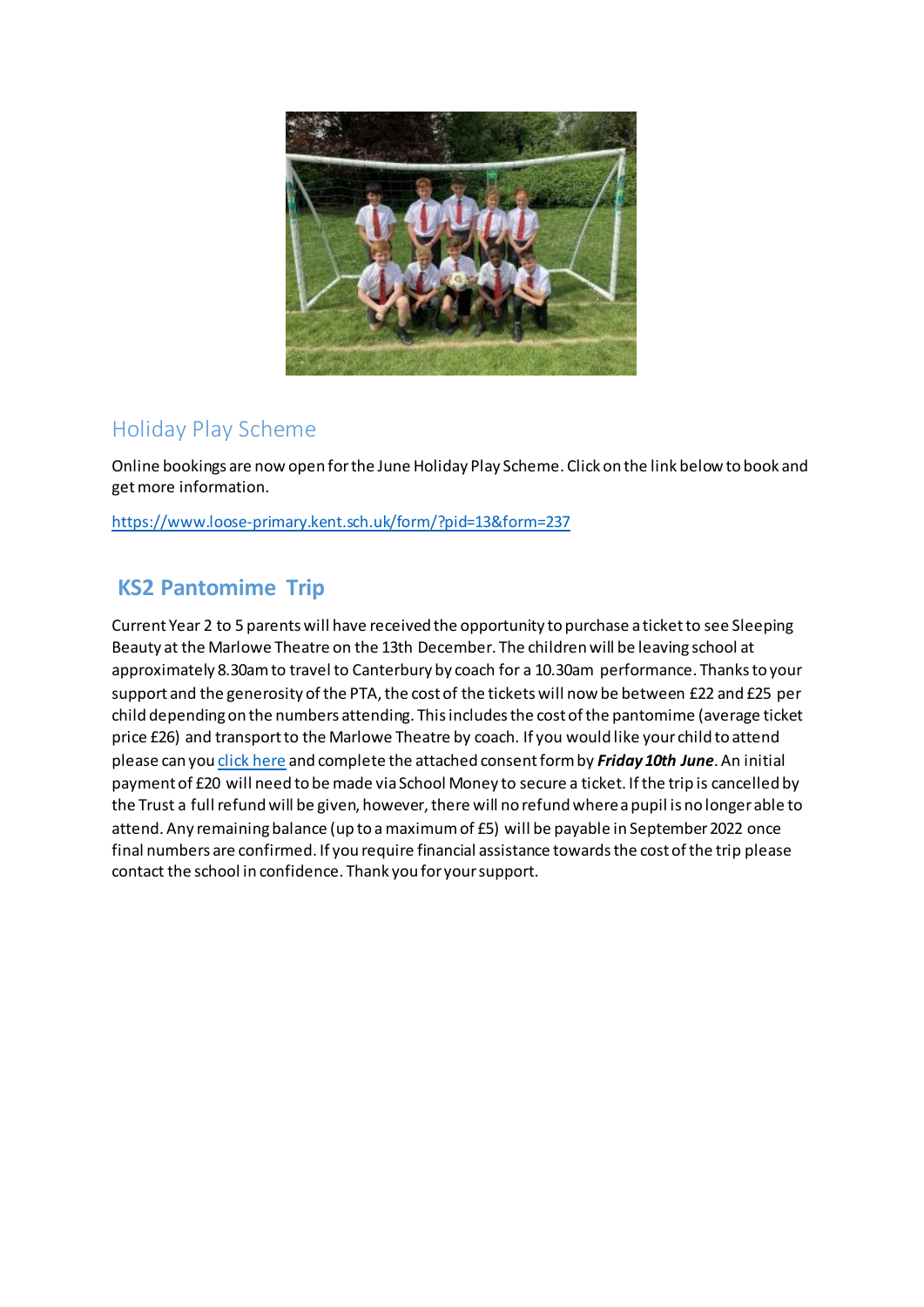

# Holiday Play Scheme

Online bookings are now open for the June Holiday Play Scheme. Click on the link below to book and get more information.

<https://www.loose-primary.kent.sch.uk/form/?pid=13&form=237>

# **KS2 Pantomime Trip**

Current Year 2 to 5 parents will have received the opportunity to purchase a ticket to see Sleeping Beauty at the Marlowe Theatre on the 13th December. The children will be leaving school at approximately 8.30am to travel to Canterbury by coach for a 10.30am performance. Thanks to your support and the generosity of the PTA, the cost of the tickets will now be between £22 and £25 per child depending on the numbers attending. This includes the cost of the pantomime (average ticket price £26) and transport to the Marlowe Theatre by coach. If you would like your child to attend please can yo[u click here](https://forms.office.com/Pages/ResponsePage.aspx?id=Int2AtEJmEimqdyL7UtwpBdFlLsrjUpGpncfoiOu_6VUQkFOQkFNV0UySU1QNU9KNklURTRHRUFJOC4u) and complete the attached consent form by *Friday 10th June*. An initial payment of £20 will need to be made via School Money to secure a ticket. If the trip is cancelled by the Trust a full refund will be given, however, there will no refund where a pupil is no longer able to attend. Any remaining balance (up to a maximum of £5) will be payable in September 2022 once final numbers are confirmed. If you require financial assistance towards the cost of the trip please contact the school in confidence. Thank you for your support.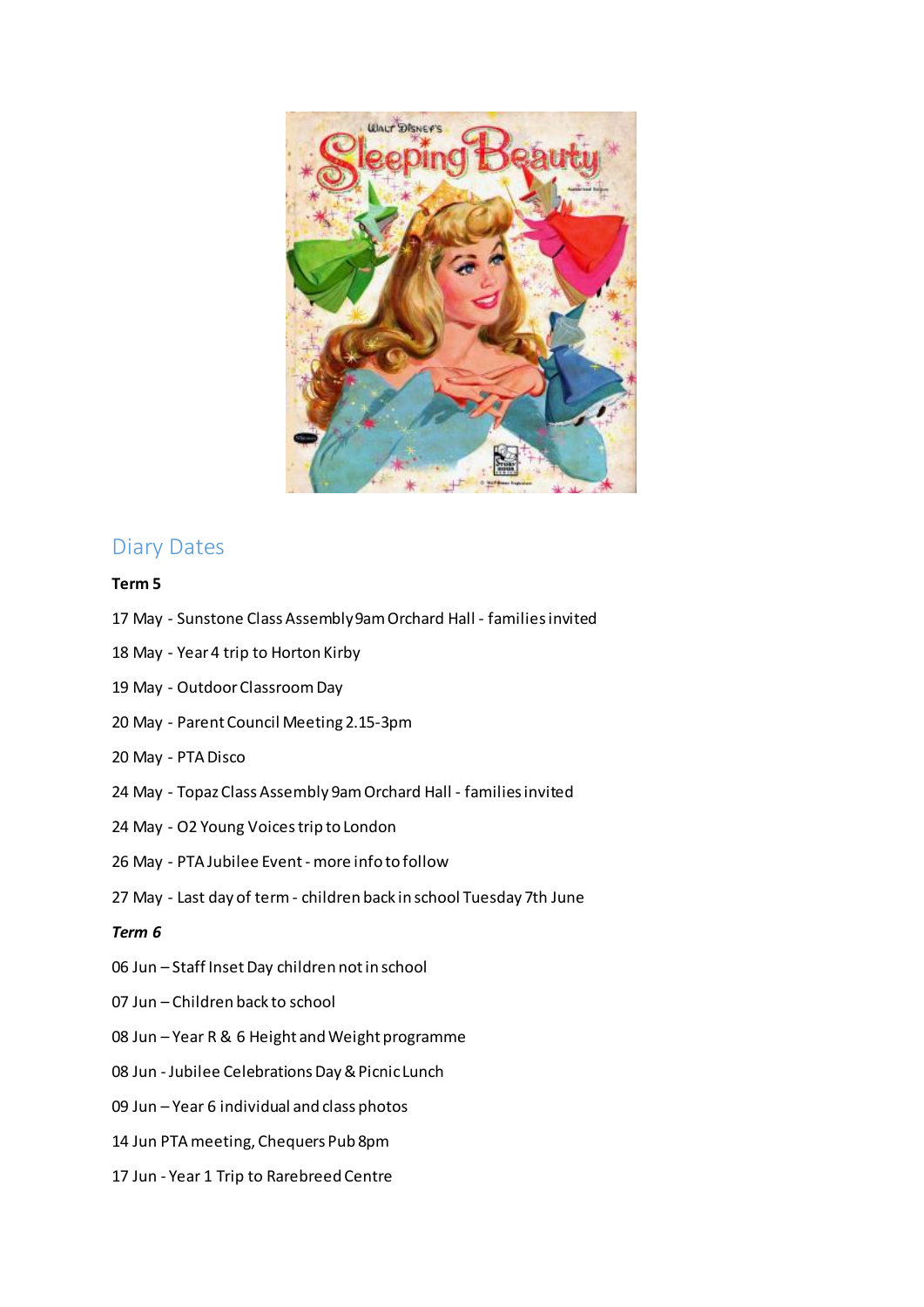

### Diary Dates

### **Term 5**

- 17 May Sunstone Class Assembly 9am Orchard Hall families invited
- 18 May Year 4 trip to Horton Kirby
- 19 May Outdoor Classroom Day
- 20 May Parent Council Meeting 2.15-3pm
- 20 May PTA Disco
- 24 May Topaz Class Assembly 9am Orchard Hall families invited
- 24 May O2 Young Voices trip to London
- 26 May PTA Jubilee Event more info to follow
- 27 May Last day of term children back in school Tuesday 7th June

#### *Term 6*

- 06 Jun Staff Inset Day children not in school
- 07 Jun Children back to school
- 08 Jun Year R & 6 Height and Weight programme
- 08 Jun Jubilee Celebrations Day & Picnic Lunch
- 09 Jun Year 6 individual and class photos
- 14 Jun PTA meeting, Chequers Pub 8pm
- 17 Jun Year 1 Trip to Rarebreed Centre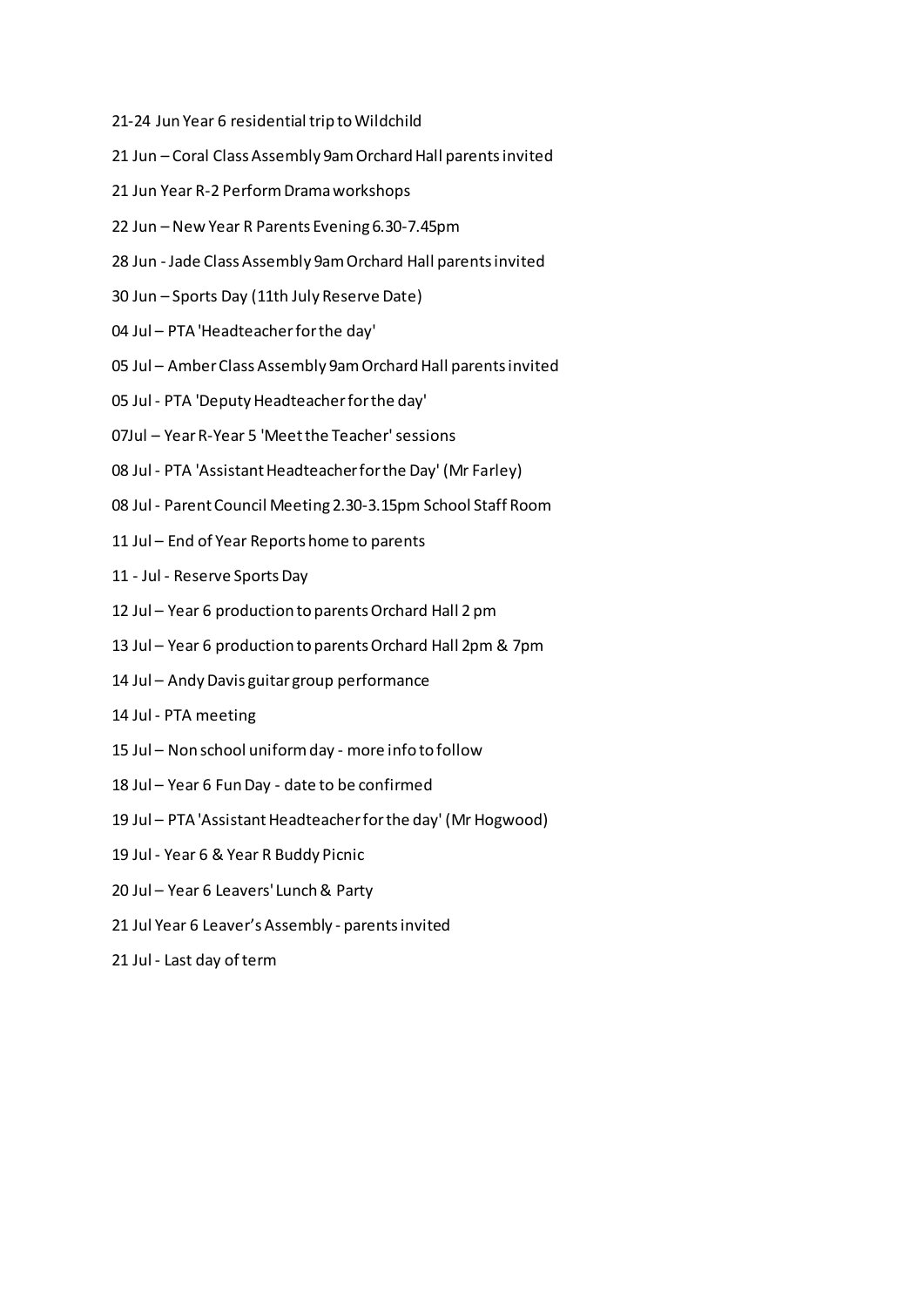- 21-24 Jun Year 6 residential trip to Wildchild
- 21 Jun Coral Class Assembly 9am Orchard Hall parents invited
- 21 Jun Year R-2 Perform Drama workshops
- 22 Jun New Year R Parents Evening 6.30-7.45pm
- 28 Jun Jade Class Assembly 9am Orchard Hall parents invited
- 30 Jun Sports Day (11th July Reserve Date)
- 04 Jul PTA 'Headteacher for the day'
- 05 Jul Amber Class Assembly 9am Orchard Hall parents invited
- 05 Jul PTA 'Deputy Headteacher for the day'
- 07Jul Year R-Year 5 'Meet the Teacher' sessions
- 08 Jul PTA 'Assistant Headteacher for the Day' (Mr Farley)
- 08 Jul Parent Council Meeting 2.30-3.15pm School Staff Room
- 11 Jul End of Year Reports home to parents
- 11 Jul Reserve Sports Day
- 12 Jul Year 6 production to parents Orchard Hall 2 pm
- 13 Jul Year 6 production to parents Orchard Hall 2pm & 7pm
- 14 Jul Andy Davis guitar group performance
- 14 Jul PTA meeting
- 15 Jul Non school uniform day more info to follow
- 18 Jul Year 6 Fun Day date to be confirmed
- 19 Jul PTA 'Assistant Headteacher for the day' (Mr Hogwood)
- 19 Jul Year 6 & Year R Buddy Picnic
- 20 Jul Year 6 Leavers' Lunch & Party
- 21 Jul Year 6 Leaver's Assembly parents invited
- 21 Jul Last day of term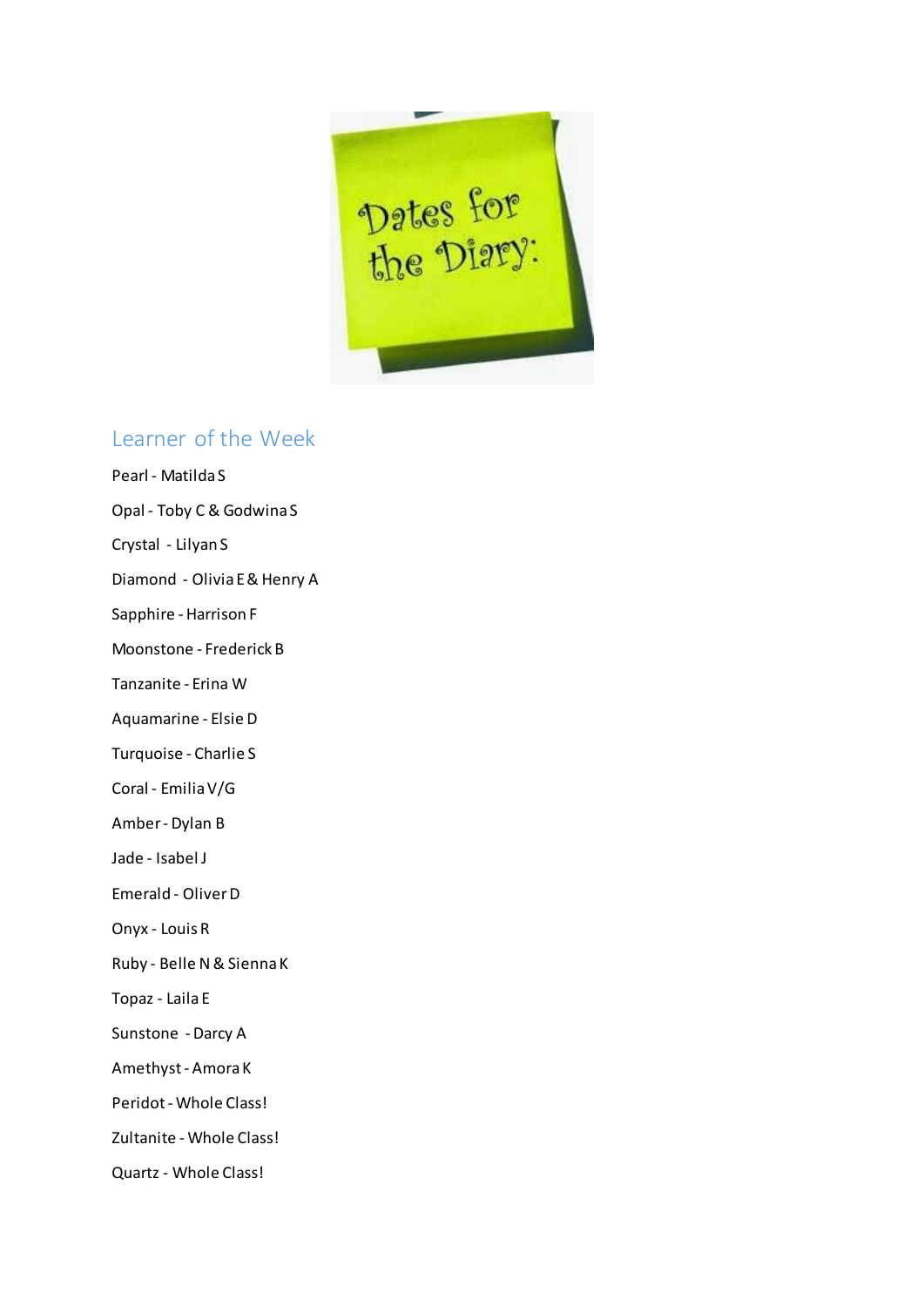

# Learner of the Week

- Pearl Matilda S
- Opal Toby C & Godwina S
- Crystal Lilyan S
- Diamond Olivia E & Henry A
- Sapphire Harrison F
- Moonstone Frederick B
- Tanzanite Erina W
- Aquamarine Elsie D
- Turquoise Charlie S
- Coral Emilia V/G
- Amber Dylan B
- Jade Isabel J
- Emerald Oliver D
- Onyx Louis R
- Ruby Belle N & Sienna K
- Topaz Laila E
- Sunstone Darcy A
- Amethyst Amora K
- Peridot Whole Class!
- Zultanite Whole Class!
- Quartz Whole Class!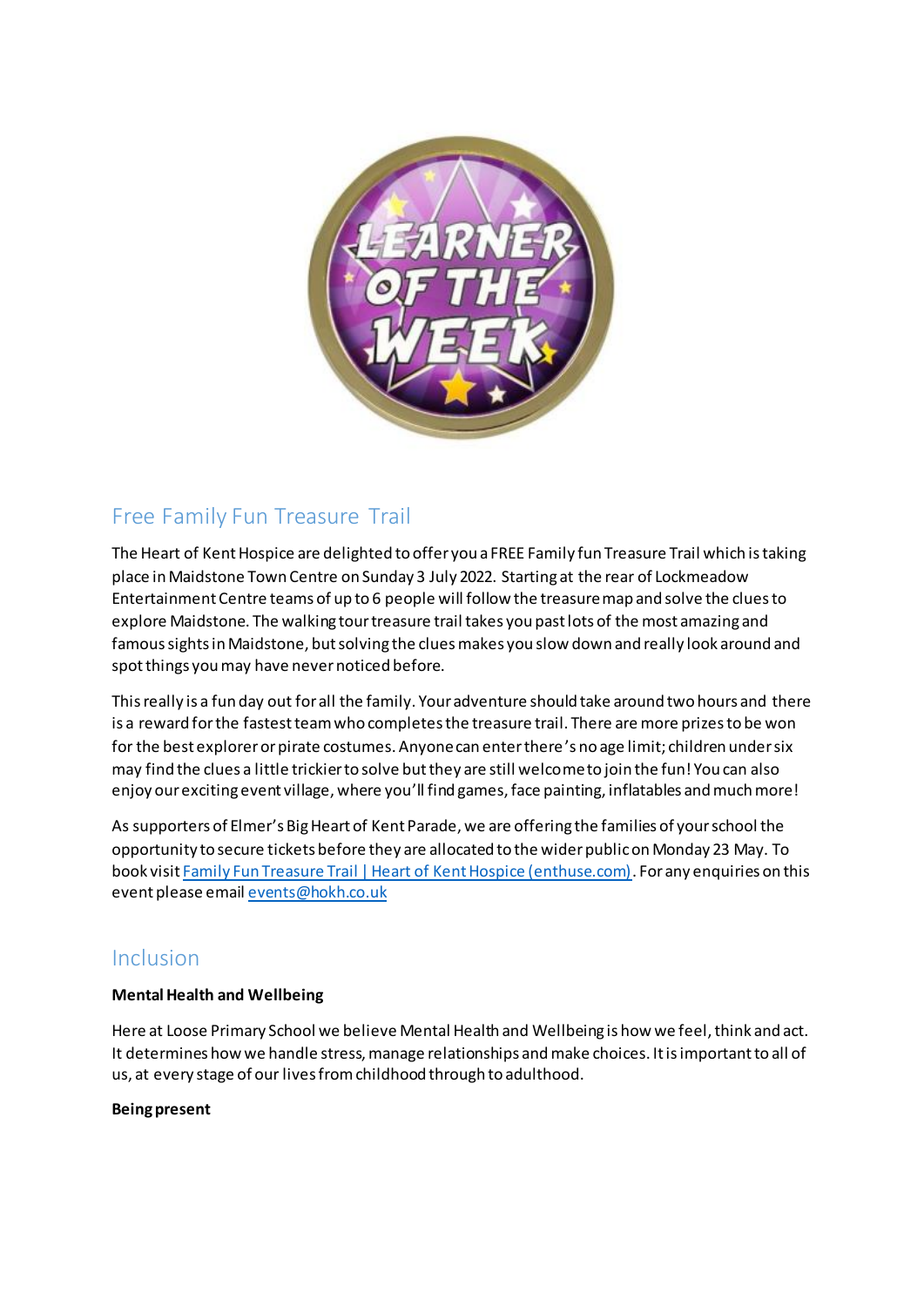

# Free Family Fun Treasure Trail

The Heart of Kent Hospice are delighted to offer you a FREE Family fun Treasure Trail which is taking place in Maidstone Town Centre on Sunday 3 July 2022. Starting at the rear of Lockmeadow Entertainment Centre teams of up to 6 people will follow the treasure map and solve the clues to explore Maidstone. The walking tour treasure trail takes you past lots of the most amazing and famoussights in Maidstone, but solving the clues makes you slow down and really look around and spot things you may have never noticed before.

Thisreally is a fun day out for all the family. Your adventure should take around two hours and there is a reward for the fastest team who completes the treasure trail. There are more prizes to be won for the best explorer or pirate costumes. Anyone can enter there's no age limit; children under six may find the clues a little trickier to solve but they are still welcome to join the fun! You can also enjoy our exciting event village, where you'll find games, face painting, inflatables and much more!

As supporters of Elmer's Big Heart of Kent Parade, we are offering the families of your school the opportunity to secure tickets before they are allocated to the wider public on Monday 23 May. To book visit [Family Fun Treasure Trail | Heart of Kent Hospice \(enthuse.com\)](https://eur02.safelinks.protection.outlook.com/?url=https%3A%2F%2Fregister.enthuse.com%2Fps%2Fevent%2FFFTTrail&data=05|01|karen.newton%40hokh.co.uk|3a1fca5f32814ca0d95008da31d1a0f6|97ca518d2c234dc38a3175185da0f42a|1|0|637877073655939754|Unknown|TWFpbGZsb3d8eyJWIjoiMC4wLjAwMDAiLCJQIjoiV2luMzIiLCJBTiI6Ik1haWwiLCJXVCI6Mn0%3D|3000|||&sdata=NnS51wZ7LmDF1JjRMLS4660RO7mVssXLqM4VVnBzJNk%3D&reserved=0). For any enquiries on this event please email [events@hokh.co.uk](mailto:events@hokh.co.uk)

# Inclusion

### **Mental Health and Wellbeing**

Here at Loose Primary School we believe Mental Health and Wellbeing is how we feel, think and act. It determines how we handle stress, manage relationships and make choices. It is important to all of us, at every stage of our lives from childhood through to adulthood.

### **Being present**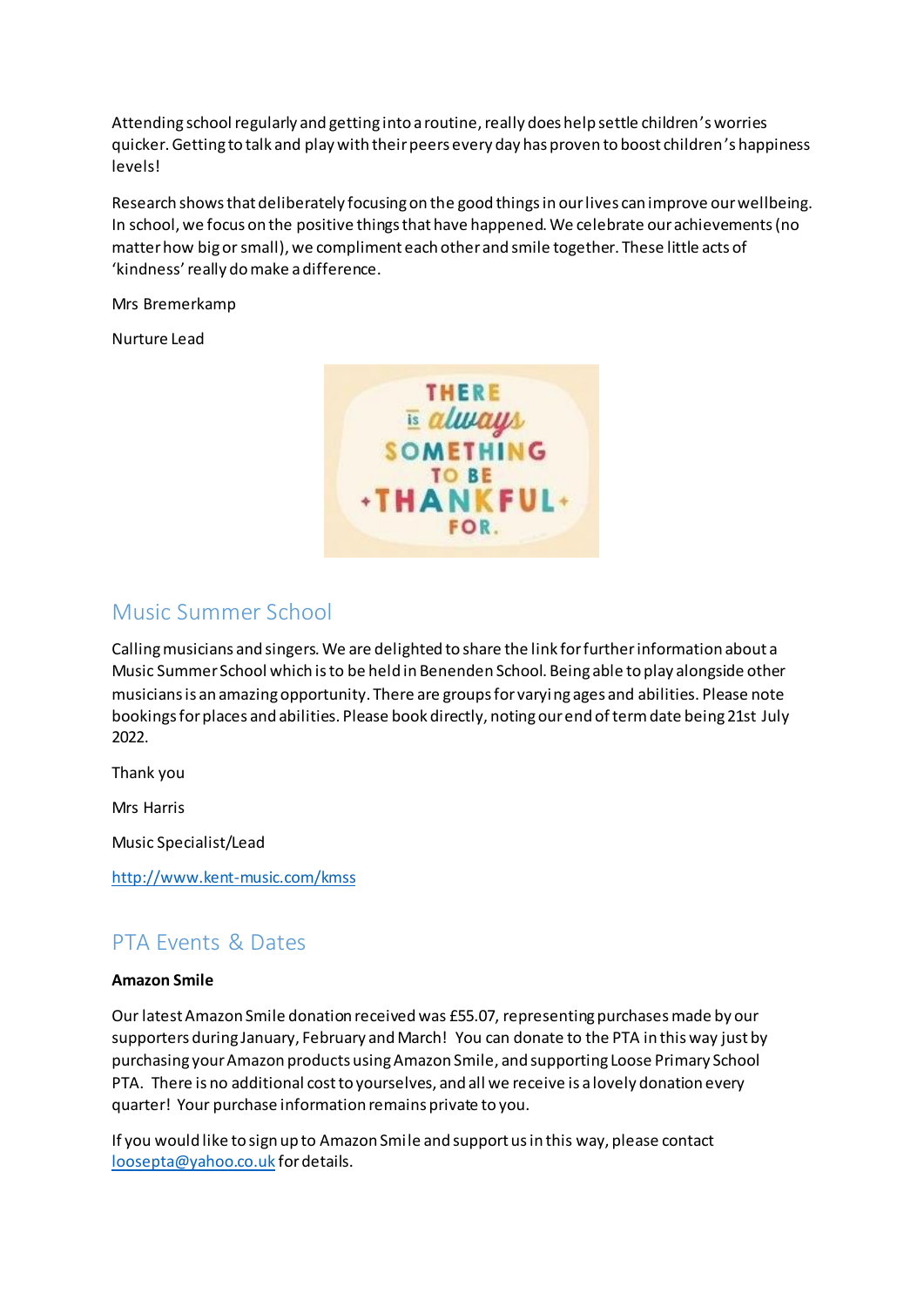Attending school regularly and getting into a routine, really does help settle children's worries quicker. Getting to talk and play with their peers every day has proven to boost children's happiness levels!

Research shows that deliberately focusing on the good things in our lives can improve our wellbeing. In school, we focus on the positive things that have happened. We celebrate our achievements (no matter how big or small), we compliment each other and smile together. These little acts of 'kindness'really do make a difference.

Mrs Bremerkamp

Nurture Lead



### Music Summer School

Calling musicians and singers. We are delighted to share the link for further information about a Music Summer School which is to be held in Benenden School. Being able to play alongside other musicians is an amazing opportunity. There are groups for varying ages and abilities. Please note bookings for places and abilities. Please book directly, noting our end of term date being 21st July 2022.

Thank you

Mrs Harris

Music Specialist/Lead

<http://www.kent-music.com/kmss>

# PTA Events & Dates

#### **Amazon Smile**

Our latest Amazon Smile donation received was £55.07, representing purchases made by our supporters during January, February and March! You can donate to the PTA in this way just by purchasing your Amazon products using Amazon Smile, and supporting Loose Primary School PTA. There is no additional cost to yourselves, and all we receive is a lovely donation every quarter! Your purchase information remains private to you.

If you would like to sign up to Amazon Smile and support us in this way, please contact [loosepta@yahoo.co.uk](mailto:loosepta@yahoo.co.uk) for details.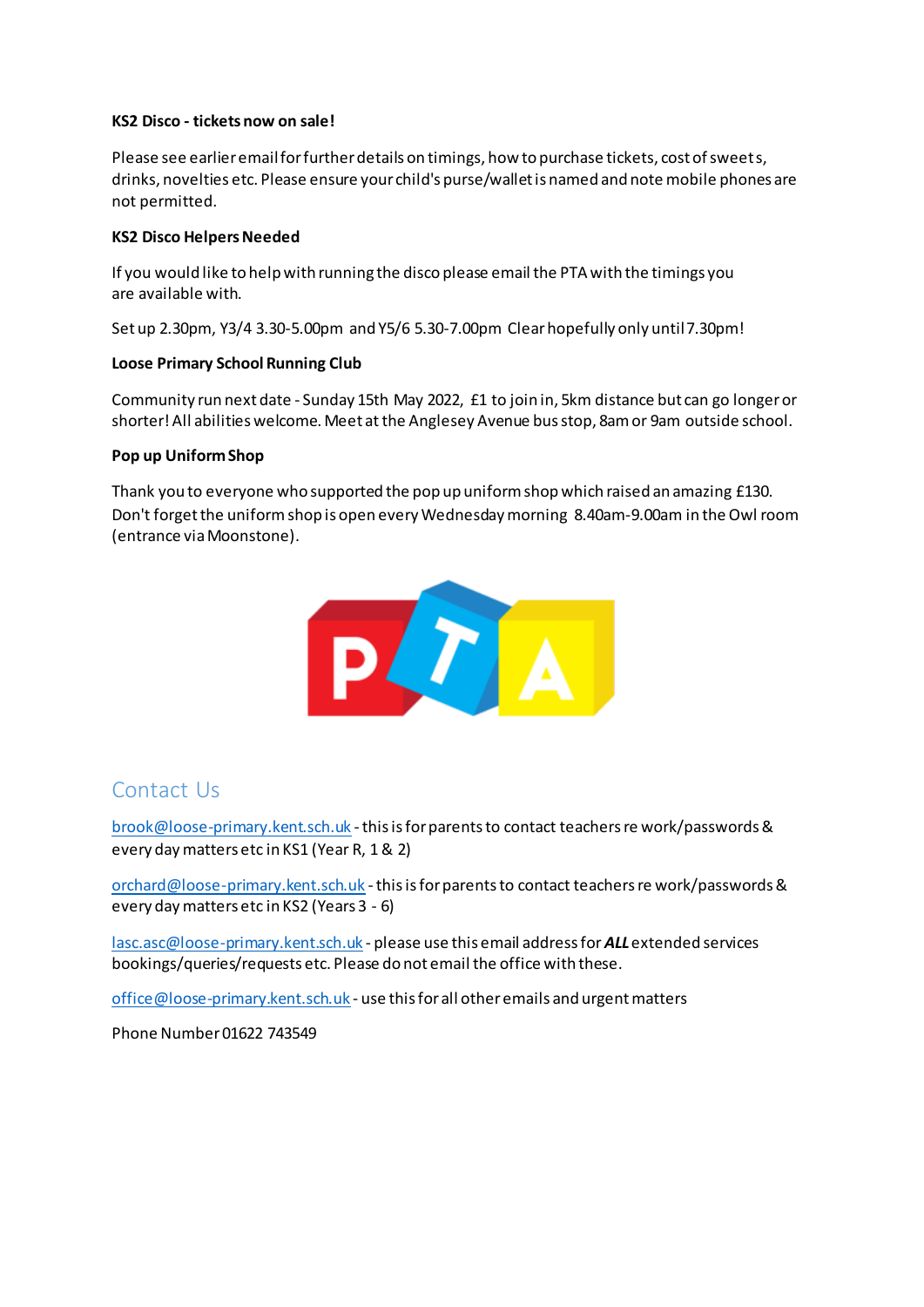#### **KS2 Disco - tickets now on sale!**

Please see earlier email for further details on timings, how to purchase tickets, cost of sweets, drinks, novelties etc. Please ensure your child's purse/wallet is named and note mobile phones are not permitted.

#### **KS2 Disco Helpers Needed**

If you would like to help with running the disco please email the PTA with the timings you are available with.

Set up 2.30pm, Y3/4 3.30-5.00pm and Y5/6 5.30-7.00pm Clear hopefully only until 7.30pm!

### **Loose Primary School Running Club**

Community run next date - Sunday 15th May 2022, £1 to join in, 5km distance but can go longer or shorter! All abilities welcome. Meet at the Anglesey Avenue bus stop, 8am or 9am outside school.

#### **Pop up Uniform Shop**

Thank you to everyone who supported the pop up uniform shop which raised an amazing £130. Don't forget the uniformshop is open every Wednesday morning 8.40am-9.00am in the Owl room (entrance via Moonstone).



### Contact Us

[brook@loose-primary.kent.sch.uk](mailto:brook@loose-primary.kent.sch.uk) - this is for parents to contact teachers re work/passwords & every day matters etc in KS1 (Year R, 1 & 2)

[orchard@loose-primary.kent.sch.uk](mailto:orchard@loose-primary.kent.sch.uk) - this is for parents to contact teachers re work/passwords & every day matters etc in KS2 (Years 3 - 6)

[lasc.asc@loose-primary.kent.sch.uk](mailto:lasc.asc@loose-primary.kent.sch.uk) - please use this email address for *ALL*extended services bookings/queries/requests etc. Please do not email the office with these.

[office@loose-primary.kent.sch.uk](mailto:office@loose-primary.kent.sch.uk) - use this for all other emails and urgent matters

Phone Number 01622 743549